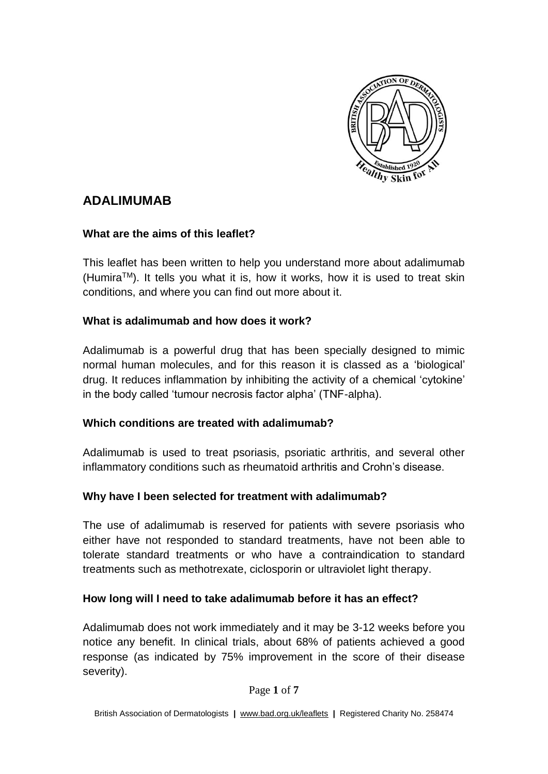

# **ADALIMUMAB**

## **What are the aims of this leaflet?**

This leaflet has been written to help you understand more about adalimumab  $(Humira<sup>TM</sup>)$ . It tells you what it is, how it works, how it is used to treat skin conditions, and where you can find out more about it.

## **What is adalimumab and how does it work?**

Adalimumab is a powerful drug that has been specially designed to mimic normal human molecules, and for this reason it is classed as a 'biological' drug. It reduces inflammation by inhibiting the activity of a chemical 'cytokine' in the body called 'tumour necrosis factor alpha' (TNF-alpha).

#### **Which conditions are treated with adalimumab?**

Adalimumab is used to treat psoriasis, psoriatic arthritis, and several other inflammatory conditions such as rheumatoid arthritis and Crohn's disease.

## **Why have I been selected for treatment with adalimumab?**

The use of adalimumab is reserved for patients with severe psoriasis who either have not responded to standard treatments, have not been able to tolerate standard treatments or who have a contraindication to standard treatments such as methotrexate, ciclosporin or ultraviolet light therapy.

## **How long will I need to take adalimumab before it has an effect?**

Adalimumab does not work immediately and it may be 3-12 weeks before you notice any benefit. In clinical trials, about 68% of patients achieved a good response (as indicated by 75% improvement in the score of their disease severity).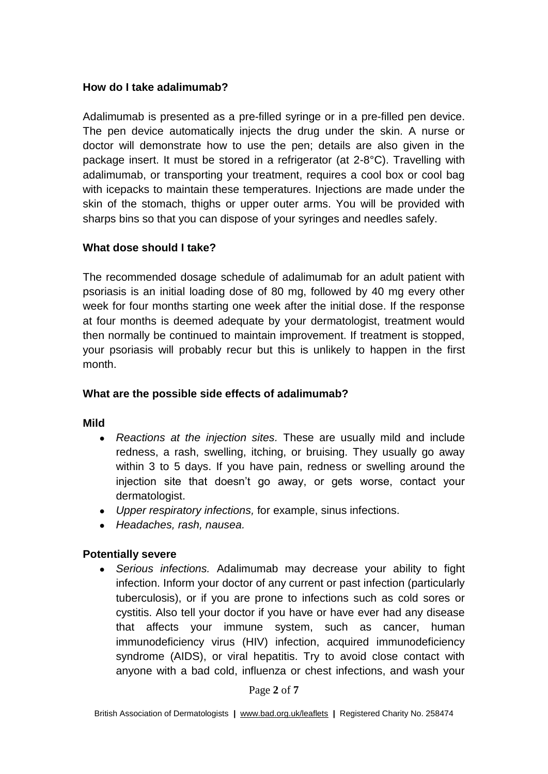#### **How do I take adalimumab?**

Adalimumab is presented as a pre-filled syringe or in a pre-filled pen device. The pen device automatically injects the drug under the skin. A nurse or doctor will demonstrate how to use the pen; details are also given in the package insert. It must be stored in a refrigerator (at 2-8°C). Travelling with adalimumab, or transporting your treatment, requires a cool box or cool bag with icepacks to maintain these temperatures. Injections are made under the skin of the stomach, thighs or upper outer arms. You will be provided with sharps bins so that you can dispose of your syringes and needles safely.

#### **What dose should I take?**

The recommended dosage schedule of adalimumab for an adult patient with psoriasis is an initial loading dose of 80 mg, followed by 40 mg every other week for four months starting one week after the initial dose. If the response at four months is deemed adequate by your dermatologist, treatment would then normally be continued to maintain improvement. If treatment is stopped, your psoriasis will probably recur but this is unlikely to happen in the first month.

#### **What are the possible side effects of adalimumab?**

#### **Mild**

- *Reactions at the injection sites.* These are usually mild and include redness, a rash, swelling, itching, or bruising. They usually go away within 3 to 5 days. If you have pain, redness or swelling around the injection site that doesn't go away, or gets worse, contact your dermatologist.
- *Upper respiratory infections,* for example, sinus infections.
- *Headaches, rash, nausea.*

#### **Potentially severe**

● *Serious infections.* Adalimumab may decrease your ability to fight infection. Inform your doctor of any current or past infection (particularly tuberculosis), or if you are prone to infections such as cold sores or cystitis. Also tell your doctor if you have or have ever had any disease that affects your immune system, such as cancer, human immunodeficiency virus (HIV) infection, acquired immunodeficiency syndrome (AIDS), or viral hepatitis. Try to avoid close contact with anyone with a bad cold, influenza or chest infections, and wash your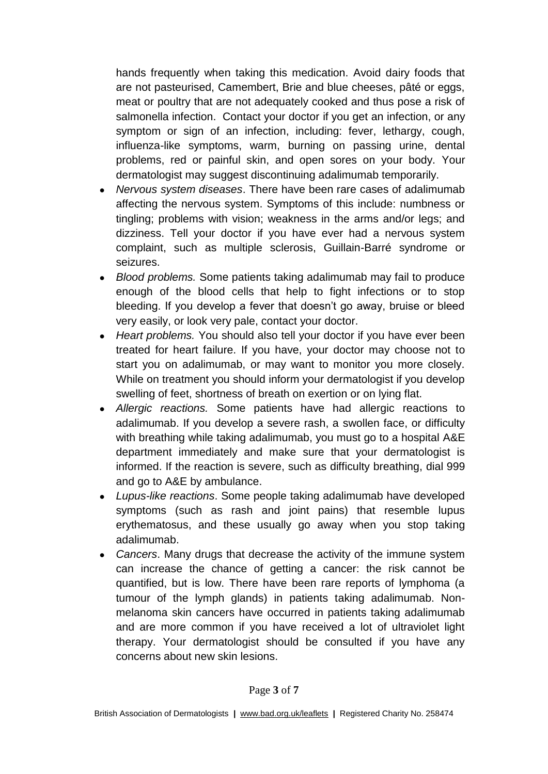hands frequently when taking this medication. Avoid dairy foods that are not pasteurised, Camembert, Brie and blue cheeses, pâté or eggs, meat or poultry that are not adequately cooked and thus pose a risk of salmonella infection. Contact your doctor if you get an infection, or any symptom or sign of an infection, including: fever, lethargy, cough, influenza-like symptoms, warm, burning on passing urine, dental problems, red or painful skin, and open sores on your body. Your dermatologist may suggest discontinuing adalimumab temporarily.

- *Nervous system diseases*. There have been rare cases of adalimumab affecting the nervous system. Symptoms of this include: numbness or tingling; problems with vision; weakness in the arms and/or legs; and dizziness. Tell your doctor if you have ever had a nervous system complaint, such as multiple sclerosis, Guillain-Barré syndrome or seizures.
- *Blood problems.* Some patients taking adalimumab may fail to produce enough of the blood cells that help to fight infections or to stop bleeding. If you develop a fever that doesn't go away, bruise or bleed very easily, or look very pale, contact your doctor.
- Heart problems. You should also tell your doctor if you have ever been treated for heart failure. If you have, your doctor may choose not to start you on adalimumab, or may want to monitor you more closely. While on treatment you should inform your dermatologist if you develop swelling of feet, shortness of breath on exertion or on lying flat.
- *Allergic reactions.* Some patients have had allergic reactions to adalimumab. If you develop a severe rash, a swollen face, or difficulty with breathing while taking adalimumab, you must go to a hospital A&E department immediately and make sure that your dermatologist is informed. If the reaction is severe, such as difficulty breathing, dial 999 and go to A&E by ambulance.
- *Lupus-like reactions*. Some people taking adalimumab have developed symptoms (such as rash and joint pains) that resemble lupus erythematosus, and these usually go away when you stop taking adalimumab.
- *Cancers*. Many drugs that decrease the activity of the immune system can increase the chance of getting a cancer: the risk cannot be quantified, but is low. There have been rare reports of lymphoma (a tumour of the lymph glands) in patients taking adalimumab. Nonmelanoma skin cancers have occurred in patients taking adalimumab and are more common if you have received a lot of ultraviolet light therapy. Your dermatologist should be consulted if you have any concerns about new skin lesions.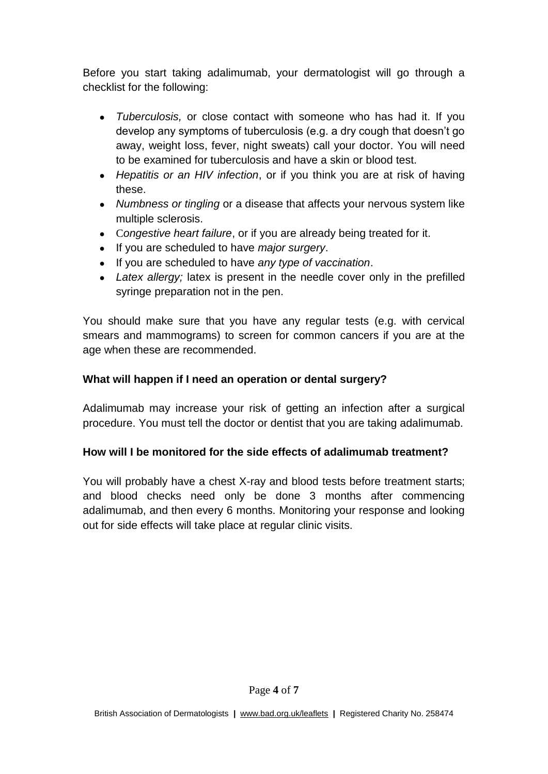Before you start taking adalimumab, your dermatologist will go through a checklist for the following:

- *Tuberculosis,* or close contact with someone who has had it. If you develop any symptoms of tuberculosis (e.g. a dry cough that doesn't go away, weight loss, fever, night sweats) call your doctor. You will need to be examined for tuberculosis and have a skin or blood test.
- *Hepatitis or an HIV infection*, or if you think you are at risk of having these.
- *Numbness or tingling* or a disease that affects your nervous system like multiple sclerosis.
- C*ongestive heart failure*, or if you are already being treated for it.
- If you are scheduled to have *major surgery*.
- If you are scheduled to have *any type of vaccination*.
- *Latex allergy*; latex is present in the needle cover only in the prefilled syringe preparation not in the pen.

You should make sure that you have any regular tests (e.g. with cervical smears and mammograms) to screen for common cancers if you are at the age when these are recommended.

## **What will happen if I need an operation or dental surgery?**

Adalimumab may increase your risk of getting an infection after a surgical procedure. You must tell the doctor or dentist that you are taking adalimumab.

#### **How will I be monitored for the side effects of adalimumab treatment?**

You will probably have a chest X-ray and blood tests before treatment starts; and blood checks need only be done 3 months after commencing adalimumab, and then every 6 months. Monitoring your response and looking out for side effects will take place at regular clinic visits.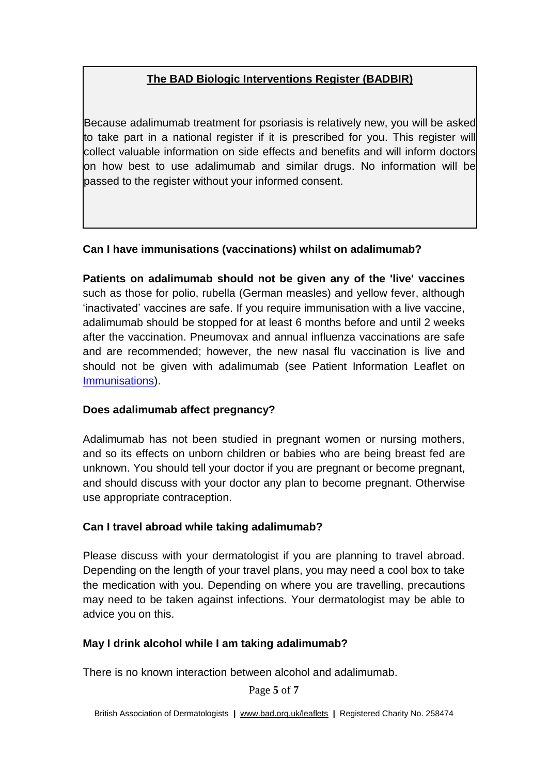## **The BAD Biologic Interventions Register (BADBIR)**

Because adalimumab treatment for psoriasis is relatively new, you will be asked to take part in a national register if it is prescribed for you. This register will collect valuable information on side effects and benefits and will inform doctors on how best to use adalimumab and similar drugs. No information will be passed to the register without your informed consent.

## **Can I have immunisations (vaccinations) whilst on adalimumab?**

**Patients on adalimumab should not be given any of the 'live' vaccines** such as those for polio, rubella (German measles) and yellow fever, although 'inactivated' vaccines are safe. If you require immunisation with a live vaccine, adalimumab should be stopped for at least 6 months before and until 2 weeks after the vaccination. Pneumovax and annual influenza vaccinations are safe and are recommended; however, the new nasal flu vaccination is live and should not be given with adalimumab (see Patient Information Leaflet on [Immunisations\)](http://www.bad.org.uk/for-the-public/patient-information-leaflets/immunisation).

#### **Does adalimumab affect pregnancy?**

Adalimumab has not been studied in pregnant women or nursing mothers, and so its effects on unborn children or babies who are being breast fed are unknown. You should tell your doctor if you are pregnant or become pregnant, and should discuss with your doctor any plan to become pregnant. Otherwise use appropriate contraception.

#### **Can I travel abroad while taking adalimumab?**

Please discuss with your dermatologist if you are planning to travel abroad. Depending on the length of your travel plans, you may need a cool box to take the medication with you. Depending on where you are travelling, precautions may need to be taken against infections. Your dermatologist may be able to advice you on this.

#### **May I drink alcohol while I am taking adalimumab?**

There is no known interaction between alcohol and adalimumab.

Page **5** of **7**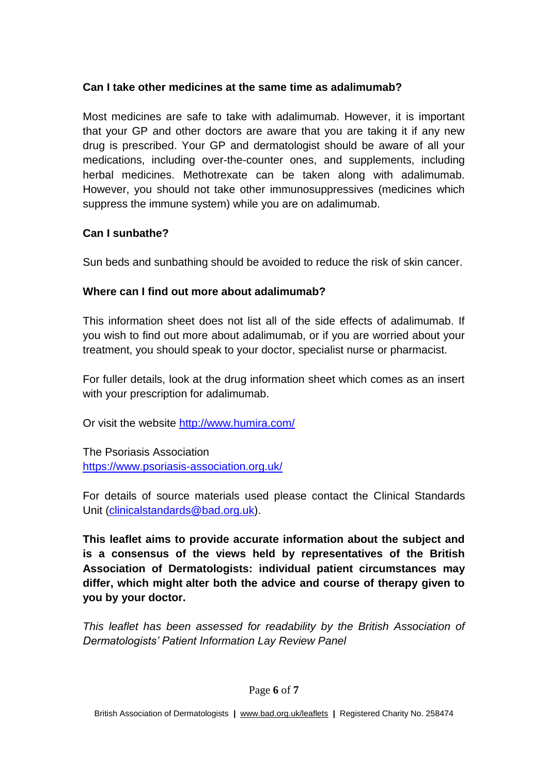#### **Can I take other medicines at the same time as adalimumab?**

Most medicines are safe to take with adalimumab. However, it is important that your GP and other doctors are aware that you are taking it if any new drug is prescribed. Your GP and dermatologist should be aware of all your medications, including over-the-counter ones, and supplements, including herbal medicines. Methotrexate can be taken along with adalimumab. However, you should not take other immunosuppressives (medicines which suppress the immune system) while you are on adalimumab.

## **Can I sunbathe?**

Sun beds and sunbathing should be avoided to reduce the risk of skin cancer.

## **Where can I find out more about adalimumab?**

This information sheet does not list all of the side effects of adalimumab. If you wish to find out more about adalimumab, or if you are worried about your treatment, you should speak to your doctor, specialist nurse or pharmacist.

For fuller details, look at the drug information sheet which comes as an insert with your prescription for adalimumab.

Or visit the website<http://www.humira.com/>

The Psoriasis Association <https://www.psoriasis-association.org.uk/>

For details of source materials used please contact the Clinical Standards Unit [\(clinicalstandards@bad.org.uk\)](mailto:clinicalstandards@bad.org.uk).

**This leaflet aims to provide accurate information about the subject and is a consensus of the views held by representatives of the British Association of Dermatologists: individual patient circumstances may differ, which might alter both the advice and course of therapy given to you by your doctor.**

*This leaflet has been assessed for readability by the British Association of Dermatologists' Patient Information Lay Review Panel*